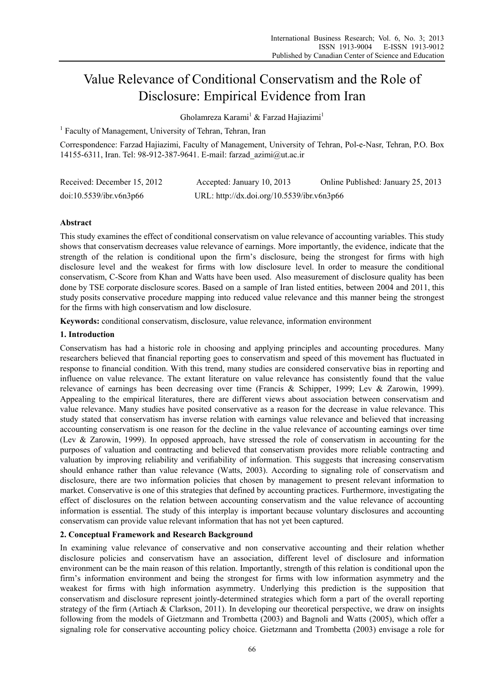# Value Relevance of Conditional Conservatism and the Role of Disclosure: Empirical Evidence from Iran

Gholamreza Karami<sup>1</sup> & Farzad Hajiazimi<sup>1</sup>

<sup>1</sup> Faculty of Management, University of Tehran, Tehran, Iran

Correspondence: Farzad Hajiazimi, Faculty of Management, University of Tehran, Pol-e-Nasr, Tehran, P.O. Box 14155-6311, Iran. Tel: 98-912-387-9641. E-mail: farzad\_azimi@ut.ac.ir

| Received: December 15, 2012 | Accepted: January 10, 2013                 | Online Published: January 25, 2013 |
|-----------------------------|--------------------------------------------|------------------------------------|
| doi:10.5539/ibr.v6n3p66     | URL: http://dx.doi.org/10.5539/ibr.v6n3p66 |                                    |

## **Abstract**

This study examines the effect of conditional conservatism on value relevance of accounting variables. This study shows that conservatism decreases value relevance of earnings. More importantly, the evidence, indicate that the strength of the relation is conditional upon the firm's disclosure, being the strongest for firms with high disclosure level and the weakest for firms with low disclosure level. In order to measure the conditional conservatism, C-Score from Khan and Watts have been used. Also measurement of disclosure quality has been done by TSE corporate disclosure scores. Based on a sample of Iran listed entities, between 2004 and 2011, this study posits conservative procedure mapping into reduced value relevance and this manner being the strongest for the firms with high conservatism and low disclosure.

**Keywords:** conditional conservatism, disclosure, value relevance, information environment

## **1. Introduction**

Conservatism has had a historic role in choosing and applying principles and accounting procedures. Many researchers believed that financial reporting goes to conservatism and speed of this movement has fluctuated in response to financial condition. With this trend, many studies are considered conservative bias in reporting and influence on value relevance. The extant literature on value relevance has consistently found that the value relevance of earnings has been decreasing over time (Francis & Schipper, 1999; Lev & Zarowin, 1999). Appealing to the empirical literatures, there are different views about association between conservatism and value relevance. Many studies have posited conservative as a reason for the decrease in value relevance. This study stated that conservatism has inverse relation with earnings value relevance and believed that increasing accounting conservatism is one reason for the decline in the value relevance of accounting earnings over time (Lev & Zarowin, 1999). In opposed approach, have stressed the role of conservatism in accounting for the purposes of valuation and contracting and believed that conservatism provides more reliable contracting and valuation by improving reliability and verifiability of information. This suggests that increasing conservatism should enhance rather than value relevance (Watts, 2003). According to signaling role of conservatism and disclosure, there are two information policies that chosen by management to present relevant information to market. Conservative is one of this strategies that defined by accounting practices. Furthermore, investigating the effect of disclosures on the relation between accounting conservatism and the value relevance of accounting information is essential. The study of this interplay is important because voluntary disclosures and accounting conservatism can provide value relevant information that has not yet been captured.

## **2. Conceptual Framework and Research Background**

In examining value relevance of conservative and non conservative accounting and their relation whether disclosure policies and conservatism have an association, different level of disclosure and information environment can be the main reason of this relation. Importantly, strength of this relation is conditional upon the firm's information environment and being the strongest for firms with low information asymmetry and the weakest for firms with high information asymmetry. Underlying this prediction is the supposition that conservatism and disclosure represent jointly-determined strategies which form a part of the overall reporting strategy of the firm (Artiach & Clarkson, 2011). In developing our theoretical perspective, we draw on insights following from the models of Gietzmann and Trombetta (2003) and Bagnoli and Watts (2005), which offer a signaling role for conservative accounting policy choice. Gietzmann and Trombetta (2003) envisage a role for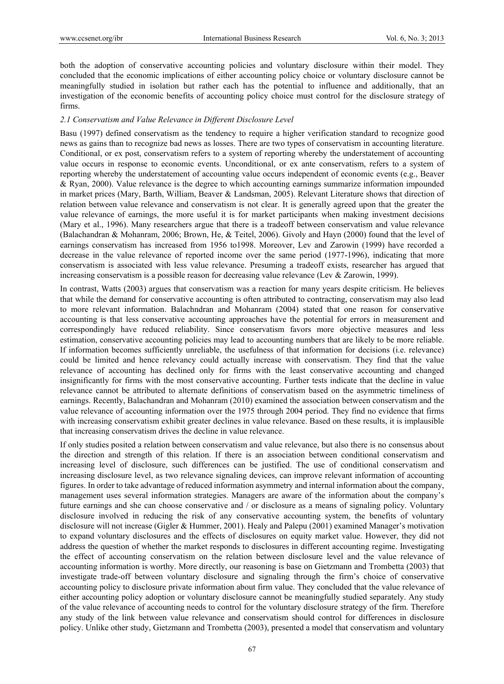both the adoption of conservative accounting policies and voluntary disclosure within their model. They concluded that the economic implications of either accounting policy choice or voluntary disclosure cannot be meaningfully studied in isolation but rather each has the potential to influence and additionally, that an investigation of the economic benefits of accounting policy choice must control for the disclosure strategy of firms.

### *2.1 Conservatism and Value Relevance in Different Disclosure Level*

Basu (1997) defined conservatism as the tendency to require a higher verification standard to recognize good news as gains than to recognize bad news as losses. There are two types of conservatism in accounting literature. Conditional, or ex post, conservatism refers to a system of reporting whereby the understatement of accounting value occurs in response to economic events. Unconditional, or ex ante conservatism, refers to a system of reporting whereby the understatement of accounting value occurs independent of economic events (e.g., Beaver & Ryan, 2000). Value relevance is the degree to which accounting earnings summarize information impounded in market prices (Mary, Barth, William, Beaver & Landsman, 2005). Relevant Literature shows that direction of relation between value relevance and conservatism is not clear. It is generally agreed upon that the greater the value relevance of earnings, the more useful it is for market participants when making investment decisions (Mary et al., 1996). Many researchers argue that there is a tradeoff between conservatism and value relevance (Balachandran & Mohanram, 2006; Brown, He, & Teitel, 2006). Givoly and Hayn (2000) found that the level of earnings conservatism has increased from 1956 to1998. Moreover, Lev and Zarowin (1999) have recorded a decrease in the value relevance of reported income over the same period (1977-1996), indicating that more conservatism is associated with less value relevance. Presuming a tradeoff exists, researcher has argued that increasing conservatism is a possible reason for decreasing value relevance (Lev & Zarowin, 1999).

In contrast, Watts (2003) argues that conservatism was a reaction for many years despite criticism. He believes that while the demand for conservative accounting is often attributed to contracting, conservatism may also lead to more relevant information. Balachndran and Mohanram (2004) stated that one reason for conservative accounting is that less conservative accounting approaches have the potential for errors in measurement and correspondingly have reduced reliability. Since conservatism favors more objective measures and less estimation, conservative accounting policies may lead to accounting numbers that are likely to be more reliable. If information becomes sufficiently unreliable, the usefulness of that information for decisions (i.e. relevance) could be limited and hence relevancy could actually increase with conservatism. They find that the value relevance of accounting has declined only for firms with the least conservative accounting and changed insignificantly for firms with the most conservative accounting. Further tests indicate that the decline in value relevance cannot be attributed to alternate definitions of conservatism based on the asymmetric timeliness of earnings. Recently, Balachandran and Mohanram (2010) examined the association between conservatism and the value relevance of accounting information over the 1975 through 2004 period. They find no evidence that firms with increasing conservatism exhibit greater declines in value relevance. Based on these results, it is implausible that increasing conservatism drives the decline in value relevance.

If only studies posited a relation between conservatism and value relevance, but also there is no consensus about the direction and strength of this relation. If there is an association between conditional conservatism and increasing level of disclosure, such differences can be justified. The use of conditional conservatism and increasing disclosure level, as two relevance signaling devices, can improve relevant information of accounting figures. In order to take advantage of reduced information asymmetry and internal information about the company, management uses several information strategies. Managers are aware of the information about the company's future earnings and she can choose conservative and / or disclosure as a means of signaling policy. Voluntary disclosure involved in reducing the risk of any conservative accounting system, the benefits of voluntary disclosure will not increase (Gigler & Hummer, 2001). Healy and Palepu (2001) examined Manager's motivation to expand voluntary disclosures and the effects of disclosures on equity market value. However, they did not address the question of whether the market responds to disclosures in different accounting regime. Investigating the effect of accounting conservatism on the relation between disclosure level and the value relevance of accounting information is worthy. More directly, our reasoning is base on Gietzmann and Trombetta (2003) that investigate trade-off between voluntary disclosure and signaling through the firm's choice of conservative accounting policy to disclosure private information about firm value. They concluded that the value relevance of either accounting policy adoption or voluntary disclosure cannot be meaningfully studied separately. Any study of the value relevance of accounting needs to control for the voluntary disclosure strategy of the firm. Therefore any study of the link between value relevance and conservatism should control for differences in disclosure policy. Unlike other study, Gietzmann and Trombetta (2003), presented a model that conservatism and voluntary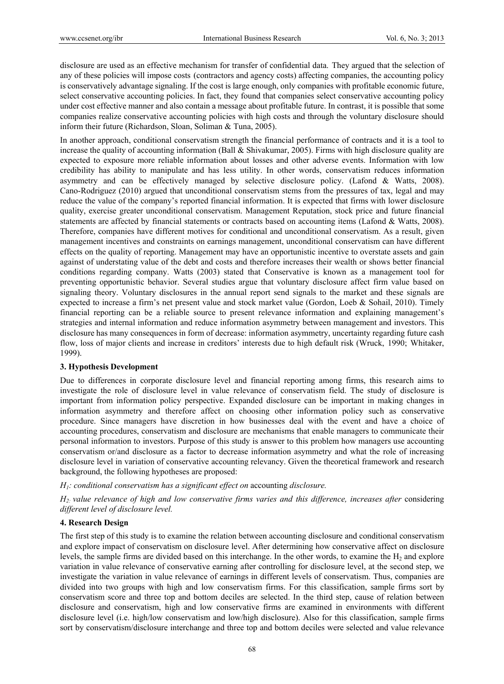disclosure are used as an effective mechanism for transfer of confidential data. They argued that the selection of any of these policies will impose costs (contractors and agency costs) affecting companies, the accounting policy is conservatively advantage signaling. If the cost is large enough, only companies with profitable economic future, select conservative accounting policies. In fact, they found that companies select conservative accounting policy under cost effective manner and also contain a message about profitable future. In contrast, it is possible that some companies realize conservative accounting policies with high costs and through the voluntary disclosure should inform their future (Richardson, Sloan, Soliman & Tuna, 2005).

In another approach, conditional conservatism strength the financial performance of contracts and it is a tool to increase the quality of accounting information (Ball  $\&$  Shivakumar, 2005). Firms with high disclosure quality are expected to exposure more reliable information about losses and other adverse events. Information with low credibility has ability to manipulate and has less utility. In other words, conservatism reduces information asymmetry and can be effectively managed by selective disclosure policy. (Lafond & Watts, 2008). Cano-Rodriguez (2010) argued that unconditional conservatism stems from the pressures of tax, legal and may reduce the value of the company's reported financial information. It is expected that firms with lower disclosure quality, exercise greater unconditional conservatism. Management Reputation, stock price and future financial statements are affected by financial statements or contracts based on accounting items (Lafond & Watts, 2008). Therefore, companies have different motives for conditional and unconditional conservatism. As a result, given management incentives and constraints on earnings management, unconditional conservatism can have different effects on the quality of reporting. Management may have an opportunistic incentive to overstate assets and gain against of understating value of the debt and costs and therefore increases their wealth or shows better financial conditions regarding company. Watts (2003) stated that Conservative is known as a management tool for preventing opportunistic behavior. Several studies argue that voluntary disclosure affect firm value based on signaling theory. Voluntary disclosures in the annual report send signals to the market and these signals are expected to increase a firm's net present value and stock market value (Gordon, Loeb & Sohail, 2010). Timely financial reporting can be a reliable source to present relevance information and explaining management's strategies and internal information and reduce information asymmetry between management and investors. This disclosure has many consequences in form of decrease: information asymmetry, uncertainty regarding future cash flow, loss of major clients and increase in creditors' interests due to high default risk (Wruck, 1990; Whitaker, 1999).

## **3. Hypothesis Development**

Due to differences in corporate disclosure level and financial reporting among firms, this research aims to investigate the role of disclosure level in value relevance of conservatism field. The study of disclosure is important from information policy perspective. Expanded disclosure can be important in making changes in information asymmetry and therefore affect on choosing other information policy such as conservative procedure. Since managers have discretion in how businesses deal with the event and have a choice of accounting procedures, conservatism and disclosure are mechanisms that enable managers to communicate their personal information to investors. Purpose of this study is answer to this problem how managers use accounting conservatism or/and disclosure as a factor to decrease information asymmetry and what the role of increasing disclosure level in variation of conservative accounting relevancy. Given the theoretical framework and research background, the following hypotheses are proposed:

*H1: conditional conservatism has a significant effect on* accounting *disclosure.* 

*H<sub>2</sub>: value relevance of high and low conservative firms varies and this difference, increases after considering different level of disclosure level.* 

## **4. Research Design**

The first step of this study is to examine the relation between accounting disclosure and conditional conservatism and explore impact of conservatism on disclosure level. After determining how conservative affect on disclosure levels, the sample firms are divided based on this interchange. In the other words, to examine the  $H_2$  and explore variation in value relevance of conservative earning after controlling for disclosure level, at the second step, we investigate the variation in value relevance of earnings in different levels of conservatism. Thus, companies are divided into two groups with high and low conservatism firms. For this classification, sample firms sort by conservatism score and three top and bottom deciles are selected. In the third step, cause of relation between disclosure and conservatism, high and low conservative firms are examined in environments with different disclosure level (i.e. high/low conservatism and low/high disclosure). Also for this classification, sample firms sort by conservatism/disclosure interchange and three top and bottom deciles were selected and value relevance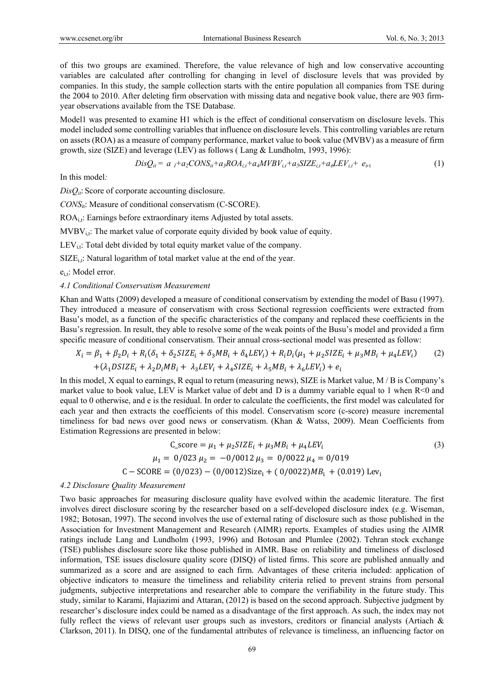of this two groups are examined. Therefore, the value relevance of high and low conservative accounting variables are calculated after controlling for changing in level of disclosure levels that was provided by companies. In this study, the sample collection starts with the entire population all companies from TSE during the 2004 to 2010. After deleting firm observation with missing data and negative book value, there are 903 firmyear observations available from the TSE Database.

Model1 was presented to examine H1 which is the effect of conditional conservatism on disclosure levels. This model included some controlling variables that influence on disclosure levels. This controlling variables are return on assets (ROA) as a measure of company performance, market value to book value (MVBV) as a measure of firm growth, size (SIZE) and leverage (LEV) as follows ( Lang & Lundholm, 1993, 1996):

$$
DisQ_{it} = a_l + a_2 CONS_{it} + a_3 ROA_{i,t} + a_4 MVBV_{i,t} + a_5 SIZE_{i,t} + a_6 LEV_{i,t} + e_{i_6}
$$
\n
$$
\tag{1}
$$

In this model*:* 

*DisQ<sub>it</sub>*: Score of corporate accounting disclosure.

*CONS*<sub>it</sub>: Measure of conditional conservatism (C-SCORE).

ROAi,t: Earnings before extraordinary items Adjusted by total assets.

 $MVBV_{i}$ : The market value of corporate equity divided by book value of equity.

 $LEV_{it}$ : Total debt divided by total equity market value of the company.

 $SIZE_{i,t}$ : Natural logarithm of total market value at the end of the year.

e<sub>it</sub>: Model error.

## *4.1 Conditional Conservatism Measurement*

Khan and Watts (2009) developed a measure of conditional conservatism by extending the model of Basu (1997). They introduced a measure of conservatism with cross Sectional regression coefficients were extracted from Basu's model, as a function of the specific characteristics of the company and replaced these coefficients in the Basu's regression. In result, they able to resolve some of the weak points of the Busu's model and provided a firm specific measure of conditional conservatism. Their annual cross-sectional model was presented as follow:

$$
X_i = \beta_1 + \beta_2 D_i + R_i(\delta_1 + \delta_2 SIZE_i + \delta_3 MB_i + \delta_4 LEV_i) + R_i D_i(\mu_1 + \mu_2 SIZE_i + \mu_3 MB_i + \mu_4 LEV_i)
$$
(2)  
+
$$
(\lambda_1 DSIZE_i + \lambda_2 D_i MB_i + \lambda_3 LEV_i + \lambda_4 SIZE_i + \lambda_5 MB_i + \lambda_6 LEV_i) + e_i
$$

In this model, X equal to earnings, R equal to return (measuring news), SIZE is Market value, M / B is Company's market value to book value, LEV is Market value of debt and D is a dummy variable equal to 1 when R<0 and equal to 0 otherwise, and e is the residual. In order to calculate the coefficients, the first model was calculated for each year and then extracts the coefficients of this model. Conservatism score (c-score) measure incremental timeliness for bad news over good news or conservatism. (Khan & Watss, 2009). Mean Coefficients from Estimation Regressions are presented in below:

$$
C_{\text{c}} \text{score} = \mu_1 + \mu_2 \text{S} \text{I} \text{Z} E_i + \mu_3 M B_i + \mu_4 L E V_i
$$
\n
$$
\mu_1 = 0/023 \mu_2 = -0/0012 \mu_3 = 0/0022 \mu_4 = 0/019
$$
\n
$$
C - \text{SCORE} = (0/023) - (0/0012) \text{Size}_i + (0/0022) M B_i + (0.019) \text{ Lev}_i
$$
\n
$$
(3)
$$

#### *4.2 Disclosure Quality Measurement*

Two basic approaches for measuring disclosure quality have evolved within the academic literature. The first involves direct disclosure scoring by the researcher based on a self-developed disclosure index (e.g. Wiseman, 1982; Botosan, 1997). The second involves the use of external rating of disclosure such as those published in the Association for Investment Management and Research (AIMR) reports. Examples of studies using the AIMR ratings include Lang and Lundholm (1993, 1996) and Botosan and Plumlee (2002). Tehran stock exchange (TSE) publishes disclosure score like those published in AIMR. Base on reliability and timeliness of disclosed information, TSE issues disclosure quality score (DISQ) of listed firms. This score are published annually and summarized as a score and are assigned to each firm. Advantages of these criteria included: application of objective indicators to measure the timeliness and reliability criteria relied to prevent strains from personal judgments, subjective interpretations and researcher able to compare the verifiability in the future study. This study, similar to Karami, Hajiazimi and Attaran, (2012) is based on the second approach. Subjective judgment by researcher's disclosure index could be named as a disadvantage of the first approach. As such, the index may not fully reflect the views of relevant user groups such as investors, creditors or financial analysts (Artiach & Clarkson, 2011). In DISQ, one of the fundamental attributes of relevance is timeliness, an influencing factor on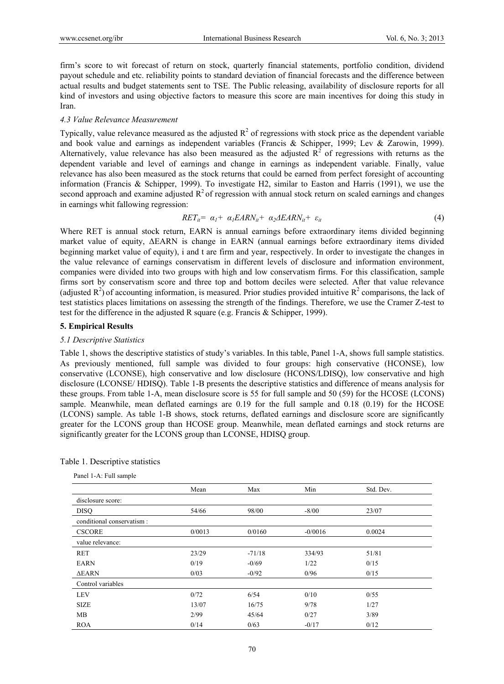firm's score to wit forecast of return on stock, quarterly financial statements, portfolio condition, dividend payout schedule and etc. reliability points to standard deviation of financial forecasts and the difference between actual results and budget statements sent to TSE. The Public releasing, availability of disclosure reports for all kind of investors and using objective factors to measure this score are main incentives for doing this study in Iran.

#### *4.3 Value Relevance Measurement*

Typically, value relevance measured as the adjusted  $R^2$  of regressions with stock price as the dependent variable and book value and earnings as independent variables (Francis & Schipper, 1999; Lev & Zarowin, 1999). Alternatively, value relevance has also been measured as the adjusted  $\mathbb{R}^2$  of regressions with returns as the dependent variable and level of earnings and change in earnings as independent variable. Finally, value relevance has also been measured as the stock returns that could be earned from perfect foresight of accounting information (Francis & Schipper, 1999). To investigate H2, similar to Easton and Harris (1991), we use the second approach and examine adjusted  $R<sup>2</sup>$  of regression with annual stock return on scaled earnings and changes in earnings whit fallowing regression:

$$
RET_{it} = \alpha_1 + \alpha_1 EARN_{it} + \alpha_2 AERN_{it} + \varepsilon_{it}
$$
\n(4)

Where RET is annual stock return, EARN is annual earnings before extraordinary items divided beginning market value of equity, ΔEARN is change in EARN (annual earnings before extraordinary items divided beginning market value of equity), i and t are firm and year, respectively. In order to investigate the changes in the value relevance of earnings conservatism in different levels of disclosure and information environment, companies were divided into two groups with high and low conservatism firms. For this classification, sample firms sort by conservatism score and three top and bottom deciles were selected. After that value relevance (adjusted  $R^2$ ) of accounting information, is measured. Prior studies provided intuitive  $R^2$  comparisons, the lack of test statistics places limitations on assessing the strength of the findings. Therefore, we use the Cramer Z-test to test for the difference in the adjusted R square (e.g. Francis & Schipper, 1999).

#### **5. Empirical Results**

#### *5.1 Descriptive Statistics*

Table 1, shows the descriptive statistics of study's variables. In this table, Panel 1-A, shows full sample statistics. As previously mentioned, full sample was divided to four groups: high conservative (HCONSE), low conservative (LCONSE), high conservative and low disclosure (HCONS/LDISQ), low conservative and high disclosure (LCONSE/ HDISQ). Table 1-B presents the descriptive statistics and difference of means analysis for these groups. From table 1-A, mean disclosure score is 55 for full sample and 50 (59) for the HCOSE (LCONS) sample. Meanwhile, mean deflated earnings are 0.19 for the full sample and 0.18 (0.19) for the HCOSE (LCONS) sample. As table 1-B shows, stock returns, deflated earnings and disclosure score are significantly greater for the LCONS group than HCOSE group. Meanwhile, mean deflated earnings and stock returns are significantly greater for the LCONS group than LCONSE, HDISQ group.

|                            | Mean   | Max      | Min       | Std. Dev. |  |
|----------------------------|--------|----------|-----------|-----------|--|
| disclosure score:          |        |          |           |           |  |
| <b>DISQ</b>                | 54/66  | 98/00    | $-8/00$   | 23/07     |  |
| conditional conservatism : |        |          |           |           |  |
| <b>CSCORE</b>              | 0/0013 | 0/0160   | $-0/0016$ | 0.0024    |  |
| value relevance:           |        |          |           |           |  |
| <b>RET</b>                 | 23/29  | $-71/18$ | 334/93    | 51/81     |  |
| <b>EARN</b>                | 0/19   | $-0/69$  | 1/22      | 0/15      |  |
| <b>AEARN</b>               | 0/03   | $-0/92$  | 0/96      | 0/15      |  |
| Control variables          |        |          |           |           |  |
| <b>LEV</b>                 | 0/72   | 6/54     | 0/10      | 0/55      |  |
| <b>SIZE</b>                | 13/07  | 16/75    | 9/78      | 1/27      |  |
| <b>MB</b>                  | 2/99   | 45/64    | 0/27      | 3/89      |  |
| <b>ROA</b>                 | 0/14   | 0/63     | $-0/17$   | 0/12      |  |

Table 1. Descriptive statistics

Panel 1-A: Full sample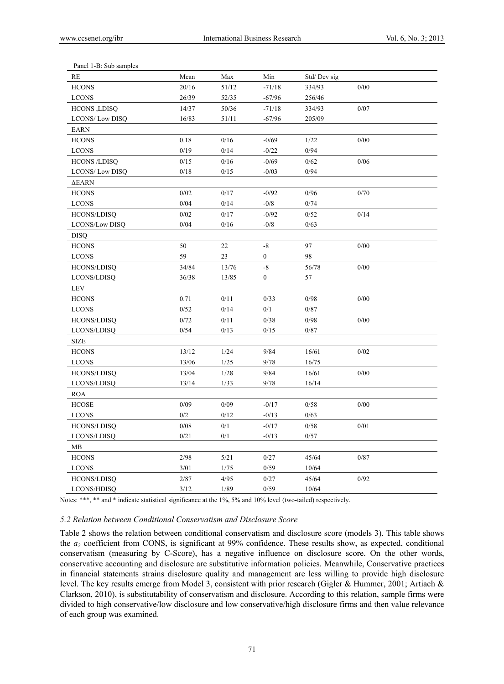| Panel 1-B: Sub samples |       |       |                  |             |      |
|------------------------|-------|-------|------------------|-------------|------|
| RE                     | Mean  | Max   | Min              | Std/Dev sig |      |
| <b>HCONS</b>           | 20/16 | 51/12 | $-71/18$         | 334/93      | 0/00 |
| <b>LCONS</b>           | 26/39 | 52/35 | $-67/96$         | 256/46      |      |
| <b>HCONS ,LDISQ</b>    | 14/37 | 50/36 | $-71/18$         | 334/93      | 0/07 |
| <b>LCONS/Low DISQ</b>  | 16/83 | 51/11 | $-67/96$         | 205/09      |      |
| <b>EARN</b>            |       |       |                  |             |      |
| <b>HCONS</b>           | 0.18  | 0/16  | $-0/69$          | 1/22        | 0/00 |
| <b>LCONS</b>           | 0/19  | 0/14  | $-0/22$          | 0/94        |      |
| <b>HCONS /LDISQ</b>    | 0/15  | 0/16  | $-0/69$          | $0/62$      | 0/06 |
| <b>LCONS/Low DISQ</b>  | 0/18  | 0/15  | $-0/03$          | 0/94        |      |
| ∆EARN                  |       |       |                  |             |      |
| <b>HCONS</b>           | 0/02  | 0/17  | $-0/92$          | 0/96        | 0/70 |
| <b>LCONS</b>           | 0/04  | 0/14  | $\mbox{-}0/8$    | 0/74        |      |
| <b>HCONS/LDISQ</b>     | 0/02  | 0/17  | $-0/92$          | 0/52        | 0/14 |
| <b>LCONS/Low DISQ</b>  | 0/04  | 0/16  | $-0/8$           | 0/63        |      |
| <b>DISQ</b>            |       |       |                  |             |      |
| <b>HCONS</b>           | 50    | 22    | $-8$             | 97          | 0/00 |
| <b>LCONS</b>           | 59    | 23    | $\boldsymbol{0}$ | 98          |      |
| <b>HCONS/LDISQ</b>     | 34/84 | 13/76 | $-8$             | 56/78       | 0/00 |
| LCONS/LDISQ            | 36/38 | 13/85 | $\overline{0}$   | 57          |      |
| <b>LEV</b>             |       |       |                  |             |      |
| <b>HCONS</b>           | 0.71  | 0/11  | 0/33             | 0/98        | 0/00 |
| <b>LCONS</b>           | 0/52  | 0/14  | 0/1              | 0/87        |      |
| HCONS/LDISQ            | 0/72  | 0/11  | 0/38             | 0/98        | 0/00 |
| LCONS/LDISQ            | 0/54  | 0/13  | 0/15             | 0/87        |      |
| <b>SIZE</b>            |       |       |                  |             |      |
| <b>HCONS</b>           | 13/12 | 1/24  | 9/84             | 16/61       | 0/02 |
| <b>LCONS</b>           | 13/06 | 1/25  | 9/78             | 16/75       |      |
| <b>HCONS/LDISQ</b>     | 13/04 | 1/28  | 9/84             | 16/61       | 0/00 |
| LCONS/LDISQ            | 13/14 | 1/33  | 9/78             | 16/14       |      |
| <b>ROA</b>             |       |       |                  |             |      |
| <b>HCOSE</b>           | 0/09  | 0/09  | $-0/17$          | 0/58        | 0/00 |
| <b>LCONS</b>           | 0/2   | 0/12  | $-0/13$          | 0/63        |      |
| <b>HCONS/LDISQ</b>     | 0/08  | 0/1   | $-0/17$          | 0/58        | 0/01 |
| LCONS/LDISQ            | 0/21  | 0/1   | $-0/13$          | 0/57        |      |
| MB                     |       |       |                  |             |      |
| <b>HCONS</b>           | 2/98  | 5/21  | 0/27             | 45/64       | 0/87 |
| <b>LCONS</b>           | 3/01  | 1/75  | 0/59             | 10/64       |      |
| <b>HCONS/LDISQ</b>     | 2/87  | 4/95  | 0/27             | 45/64       | 0/92 |
| LCONS/HDISQ            | 3/12  | 1/89  | 0/59             | 10/64       |      |

Notes: \*\*\*, \*\* and \* indicate statistical significance at the 1%, 5% and 10% level (two-tailed) respectively.

#### *5.2 Relation between Conditional Conservatism and Disclosure Score*

Table 2 shows the relation between conditional conservatism and disclosure score (models 3). This table shows the *a2* coefficient from CONS, is significant at 99% confidence. These results show, as expected, conditional conservatism (measuring by C-Score), has a negative influence on disclosure score. On the other words, conservative accounting and disclosure are substitutive information policies. Meanwhile, Conservative practices in financial statements strains disclosure quality and management are less willing to provide high disclosure level. The key results emerge from Model 3, consistent with prior research (Gigler & Hummer, 2001; Artiach & Clarkson, 2010), is substitutability of conservatism and disclosure. According to this relation, sample firms were divided to high conservative/low disclosure and low conservative/high disclosure firms and then value relevance of each group was examined.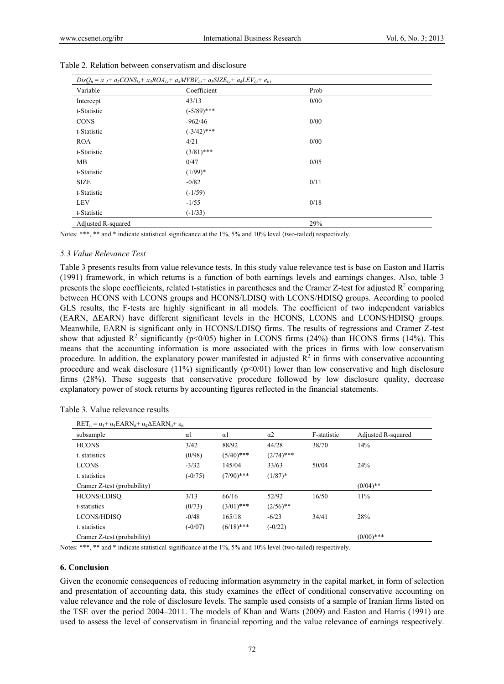| $DisO_{it} = a_{i} + a_{i}CONS_{i} + a_{i}ROA_{i} + a_{i}MVBV_{i} + a_{i}SIZE_{i} + a_{i}LEV_{i} + e_{i}$ |               |      |  |  |
|-----------------------------------------------------------------------------------------------------------|---------------|------|--|--|
| Variable                                                                                                  | Coefficient   | Prob |  |  |
| Intercept                                                                                                 | 43/13         | 0/00 |  |  |
| t-Statistic                                                                                               | $(-5/89)$ *** |      |  |  |
| <b>CONS</b>                                                                                               | $-962/46$     | 0/00 |  |  |
| t-Statistic                                                                                               | $(-3/42)$ *** |      |  |  |
| <b>ROA</b>                                                                                                | 4/21          | 0/00 |  |  |
| t-Statistic                                                                                               | $(3/81)$ ***  |      |  |  |
| MB                                                                                                        | 0/47          | 0/05 |  |  |
| t-Statistic                                                                                               | $(1/99)*$     |      |  |  |
| <b>SIZE</b>                                                                                               | $-0/82$       | 0/11 |  |  |
| t-Statistic                                                                                               | $(-1/59)$     |      |  |  |
| <b>LEV</b>                                                                                                | $-1/55$       | 0/18 |  |  |
| t-Statistic                                                                                               | $(-1/33)$     |      |  |  |
| Adjusted R-squared                                                                                        |               | 29%  |  |  |

Table 2. Relation between conservatism and disclosure

Notes: \*\*\*, \*\* and \* indicate statistical significance at the 1%, 5% and 10% level (two-tailed) respectively.

#### *5.3 Value Relevance Test*

Table 3 presents results from value relevance tests. In this study value relevance test is base on Easton and Harris (1991) framework, in which returns is a function of both earnings levels and earnings changes. Also, table 3 presents the slope coefficients, related t-statistics in parentheses and the Cramer Z-test for adjusted  $R^2$  comparing between HCONS with LCONS groups and HCONS/LDISQ with LCONS/HDISQ groups. According to pooled GLS results, the F-tests are highly significant in all models. The coefficient of two independent variables (EARN, ΔEARN) have different significant levels in the HCONS, LCONS and LCONS/HDISQ groups. Meanwhile, EARN is significant only in HCONS/LDISQ firms. The results of regressions and Cramer Z-test show that adjusted  $R^2$  significantly (p<0/05) higher in LCONS firms (24%) than HCONS firms (14%). This means that the accounting information is more associated with the prices in firms with low conservatism procedure. In addition, the explanatory power manifested in adjusted  $R^2$  in firms with conservative accounting procedure and weak disclosure (11%) significantly  $(p<0/01)$  lower than low conservative and high disclosure firms (28%). These suggests that conservative procedure followed by low disclosure quality, decrease explanatory power of stock returns by accounting figures reflected in the financial statements.

| $RET_{it} = \alpha_1 + \alpha_1 EARN_{it} + \alpha_2 \Delta EARN_{it} + \varepsilon_{it}$ |            |              |              |             |                    |
|-------------------------------------------------------------------------------------------|------------|--------------|--------------|-------------|--------------------|
| subsample                                                                                 | $\alpha$ 1 | $\alpha$ 1   | $\alpha$ 2   | F-statistic | Adjusted R-squared |
| <b>HCONS</b>                                                                              | 3/42       | 88/92        | 44/28        | 38/70       | 14%                |
| t. statistics                                                                             | (0/98)     | $(5/40)$ *** | $(2/74)$ *** |             |                    |
| <b>LCONS</b>                                                                              | $-3/32$    | 145/04       | 33/63        | 50/04       | 24%                |
| t. statistics                                                                             | $(-0/75)$  | $(7/90)$ *** | $(1/87)^*$   |             |                    |
| Cramer Z-test (probability)                                                               |            |              |              |             | $(0/04)$ **        |
| <b>HCONS/LDISO</b>                                                                        | 3/13       | 66/16        | 52/92        | 16/50       | 11%                |
| t-statistics                                                                              | (0/73)     | $(3/01)$ *** | $(2/56)$ **  |             |                    |
| <b>LCONS/HDISO</b>                                                                        | $-0/48$    | 165/18       | $-6/23$      | 34/41       | 28%                |
| t. statistics                                                                             | $(-0/07)$  | $(6/18)$ *** | $(-0/22)$    |             |                    |
| Cramer Z-test (probability)                                                               |            |              |              |             | $(0/00)***$        |

Table 3. Value relevance results

Notes: \*\*\*, \*\* and \* indicate statistical significance at the 1%, 5% and 10% level (two-tailed) respectively.

#### **6. Conclusion**

Given the economic consequences of reducing information asymmetry in the capital market, in form of selection and presentation of accounting data, this study examines the effect of conditional conservative accounting on value relevance and the role of disclosure levels. The sample used consists of a sample of Iranian firms listed on the TSE over the period 2004–2011. The models of Khan and Watts (2009) and Easton and Harris (1991) are used to assess the level of conservatism in financial reporting and the value relevance of earnings respectively.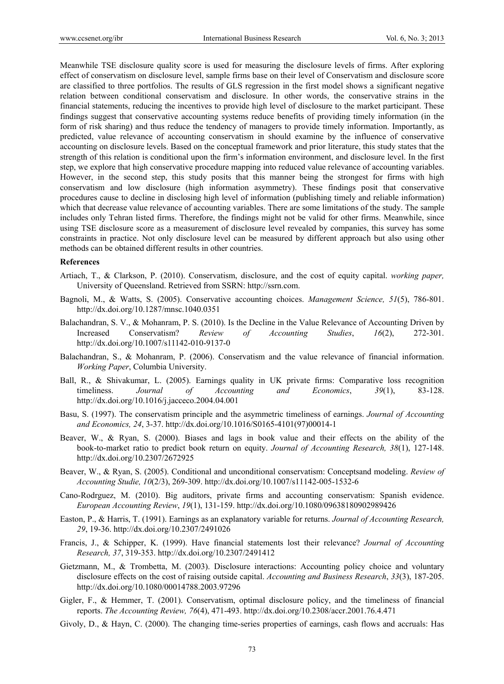Meanwhile TSE disclosure quality score is used for measuring the disclosure levels of firms. After exploring effect of conservatism on disclosure level, sample firms base on their level of Conservatism and disclosure score are classified to three portfolios. The results of GLS regression in the first model shows a significant negative relation between conditional conservatism and disclosure. In other words, the conservative strains in the financial statements, reducing the incentives to provide high level of disclosure to the market participant. These findings suggest that conservative accounting systems reduce benefits of providing timely information (in the form of risk sharing) and thus reduce the tendency of managers to provide timely information. Importantly, as predicted, value relevance of accounting conservatism in should examine by the influence of conservative accounting on disclosure levels. Based on the conceptual framework and prior literature, this study states that the strength of this relation is conditional upon the firm's information environment, and disclosure level. In the first step, we explore that high conservative procedure mapping into reduced value relevance of accounting variables. However, in the second step, this study posits that this manner being the strongest for firms with high conservatism and low disclosure (high information asymmetry). These findings posit that conservative procedures cause to decline in disclosing high level of information (publishing timely and reliable information) which that decrease value relevance of accounting variables. There are some limitations of the study. The sample includes only Tehran listed firms. Therefore, the findings might not be valid for other firms. Meanwhile, since using TSE disclosure score as a measurement of disclosure level revealed by companies, this survey has some constraints in practice. Not only disclosure level can be measured by different approach but also using other methods can be obtained different results in other countries.

#### **References**

- Artiach, T., & Clarkson, P. (2010). Conservatism, disclosure, and the cost of equity capital. *working paper,* University of Queensland. Retrieved from SSRN: http://ssrn.com.
- Bagnoli, M., & Watts, S. (2005). Conservative accounting choices. *Management Science, 51*(5), 786-801. http://dx.doi.org/10.1287/mnsc.1040.0351
- Balachandran, S. V., & Mohanram, P. S. (2010). Is the Decline in the Value Relevance of Accounting Driven by Increased Conservatism? *Review of Accounting Studies*, *16*(2), 272-301. http://dx.doi.org/10.1007/s11142-010-9137-0
- Balachandran, S., & Mohanram, P. (2006). Conservatism and the value relevance of financial information. *Working Paper*, Columbia University.
- Ball, R., & Shivakumar, L. (2005). Earnings quality in UK private firms: Comparative loss recognition timeliness. *Journal of Accounting and Economics*, *39*(1), 83-128. http://dx.doi.org/10.1016/j.jacceco.2004.04.001
- Basu, S. (1997). The conservatism principle and the asymmetric timeliness of earnings. *Journal of Accounting and Economics, 24*, 3-37. http://dx.doi.org/10.1016/S0165-4101(97)00014-1
- Beaver, W., & Ryan, S. (2000). Biases and lags in book value and their effects on the ability of the book-to-market ratio to predict book return on equity. *Journal of Accounting Research, 38*(1), 127-148. http://dx.doi.org/10.2307/2672925
- Beaver, W., & Ryan, S. (2005). Conditional and unconditional conservatism: Conceptsand modeling. *Review of Accounting Studie, 10*(2/3), 269-309. http://dx.doi.org/10.1007/s11142-005-1532-6
- Cano-Rodrguez, M. (2010). Big auditors, private firms and accounting conservatism: Spanish evidence. *European Accounting Review*, *19*(1), 131-159. http://dx.doi.org/10.1080/09638180902989426
- Easton, P., & Harris, T. (1991). Earnings as an explanatory variable for returns. *Journal of Accounting Research, 29*, 19-36. http://dx.doi.org/10.2307/2491026
- Francis, J., & Schipper, K. (1999). Have financial statements lost their relevance? *Journal of Accounting Research, 37*, 319-353. http://dx.doi.org/10.2307/2491412
- Gietzmann, M., & Trombetta, M. (2003). Disclosure interactions: Accounting policy choice and voluntary disclosure effects on the cost of raising outside capital. *Accounting and Business Research*, *33*(3), 187-205. http://dx.doi.org/10.1080/00014788.2003.97296
- Gigler, F., & Hemmer, T. (2001). Conservatism, optimal disclosure policy, and the timeliness of financial reports. *The Accounting Review, 76*(4), 471-493. http://dx.doi.org/10.2308/accr.2001.76.4.471
- Givoly, D., & Hayn, C. (2000). The changing time-series properties of earnings, cash flows and accruals: Has